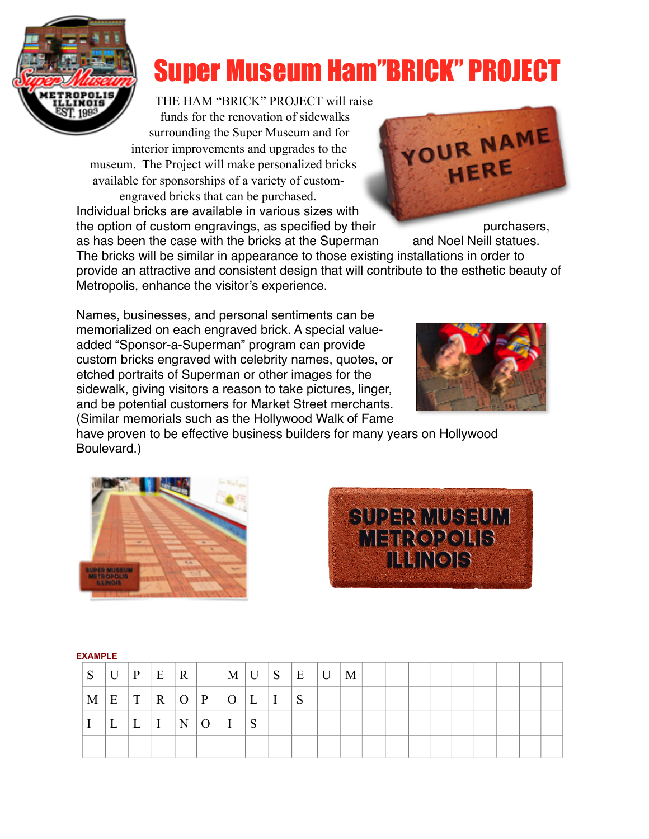

## Super Museum Ham"BRICK" PROJECT

THE HAM "BRICK" PROJECT will raise funds for the renovation of sidewalks

surrounding the Super Museum and for interior improvements and upgrades to the museum. The Project will make personalized bricks available for sponsorships of a variety of custom-

engraved bricks that can be purchased. Individual bricks are available in various sizes with the option of custom engravings, as specified by their purchasers,



as has been the case with the bricks at the Superman and Noel Neill statues. The bricks will be similar in appearance to those existing installations in order to provide an attractive and consistent design that will contribute to the esthetic beauty of Metropolis, enhance the visitor's experience.

Names, businesses, and personal sentiments can be memorialized on each engraved brick. A special valueadded "Sponsor-a-Superman" program can provide custom bricks engraved with celebrity names, quotes, or etched portraits of Superman or other images for the sidewalk, giving visitors a reason to take pictures, linger, and be potential customers for Market Street merchants. (Similar memorials such as the Hollywood Walk of Fame



have proven to be effective business builders for many years on Hollywood Boulevard.)





| <sub>S</sub> |   | $\bigcup$ $\big  P \big $ $\big  E$ |           | $\vert R \vert$ |                     |              |              | M U S E U | M |  |  |  |  |  |
|--------------|---|-------------------------------------|-----------|-----------------|---------------------|--------------|--------------|-----------|---|--|--|--|--|--|
| M            | E | $\vert T \vert$                     |           |                 | $R$   O   P   O   L |              | $\mathbf{I}$ | S         |   |  |  |  |  |  |
|              | ┶ | L                                   | $\vert$ I | $\vert N \vert$ | $\overline{O}$      | <sub>S</sub> |              |           |   |  |  |  |  |  |
|              |   |                                     |           |                 |                     |              |              |           |   |  |  |  |  |  |